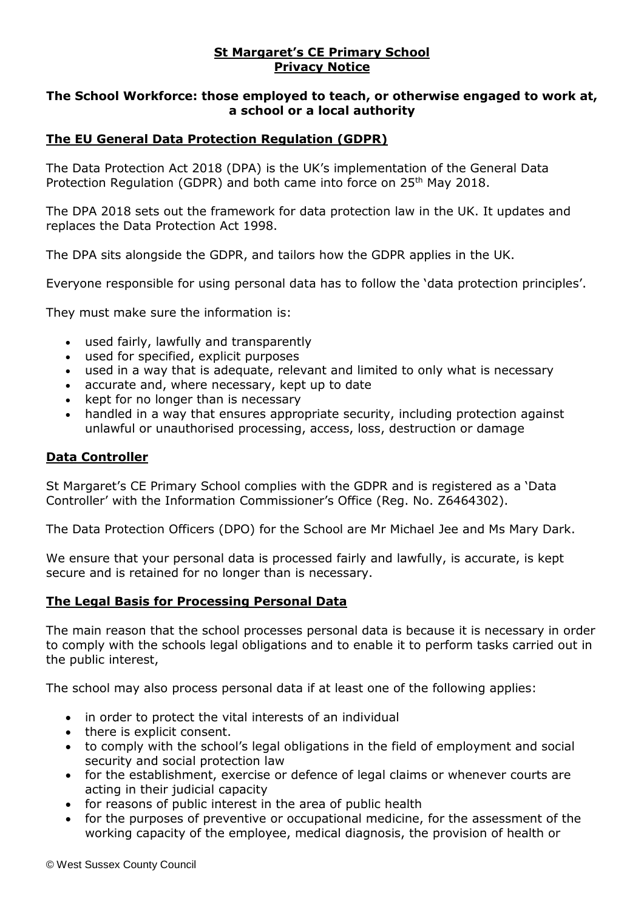### **St Margaret's CE Primary School Privacy Notice**

### **The School Workforce: those employed to teach, or otherwise engaged to work at, a school or a local authority**

# **The EU General Data Protection Regulation (GDPR)**

The Data Protection Act 2018 (DPA) is the UK's implementation of the General Data Protection Regulation (GDPR) and both came into force on 25<sup>th</sup> May 2018.

The DPA 2018 sets out the framework for data protection law in the UK. It updates and replaces the Data Protection Act 1998.

The DPA sits alongside the GDPR, and tailors how the GDPR applies in the UK.

Everyone responsible for using personal data has to follow the 'data protection principles'.

They must make sure the information is:

- used fairly, lawfully and transparently
- used for specified, explicit purposes
- used in a way that is adequate, relevant and limited to only what is necessary
- accurate and, where necessary, kept up to date
- kept for no longer than is necessary
- handled in a way that ensures appropriate security, including protection against unlawful or unauthorised processing, access, loss, destruction or damage

#### **Data Controller**

St Margaret's CE Primary School complies with the GDPR and is registered as a 'Data Controller' with the Information Commissioner's Office (Reg. No. Z6464302).

The Data Protection Officers (DPO) for the School are Mr Michael Jee and Ms Mary Dark.

We ensure that your personal data is processed fairly and lawfully, is accurate, is kept secure and is retained for no longer than is necessary.

### **The Legal Basis for Processing Personal Data**

The main reason that the school processes personal data is because it is necessary in order to comply with the schools legal obligations and to enable it to perform tasks carried out in the public interest,

The school may also process personal data if at least one of the following applies:

- in order to protect the vital interests of an individual
- there is explicit consent.
- to comply with the school's legal obligations in the field of employment and social security and social protection law
- for the establishment, exercise or defence of legal claims or whenever courts are acting in their judicial capacity
- for reasons of public interest in the area of public health
- for the purposes of preventive or occupational medicine, for the assessment of the working capacity of the employee, medical diagnosis, the provision of health or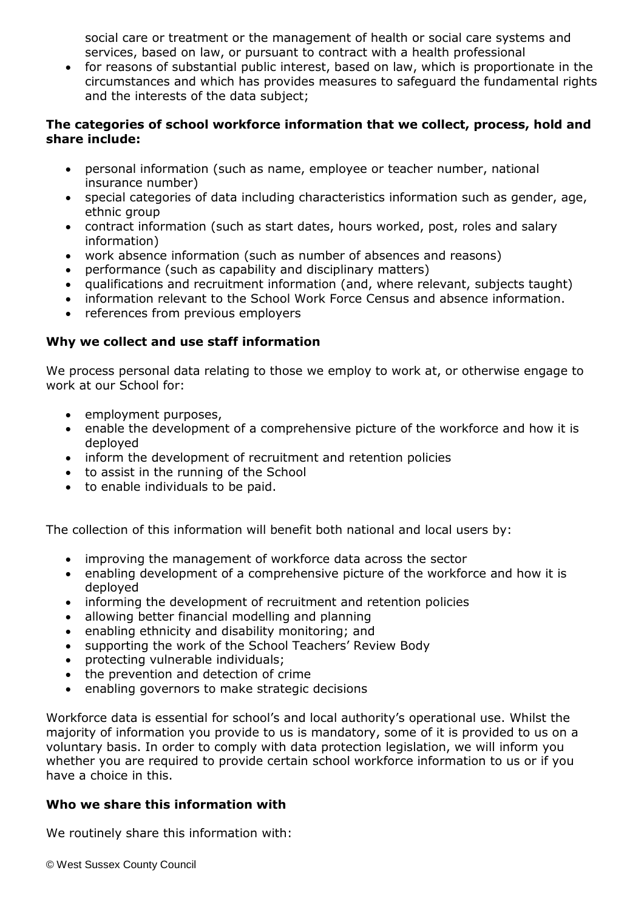social care or treatment or the management of health or social care systems and services, based on law, or pursuant to contract with a health professional

 for reasons of substantial public interest, based on law, which is proportionate in the circumstances and which has provides measures to safeguard the fundamental rights and the interests of the data subject;

### **The categories of school workforce information that we collect, process, hold and share include:**

- personal information (such as name, employee or teacher number, national insurance number)
- special categories of data including characteristics information such as gender, age, ethnic group
- contract information (such as start dates, hours worked, post, roles and salary information)
- work absence information (such as number of absences and reasons)
- performance (such as capability and disciplinary matters)
- qualifications and recruitment information (and, where relevant, subjects taught)
- information relevant to the School Work Force Census and absence information.
- references from previous employers

### **Why we collect and use staff information**

We process personal data relating to those we employ to work at, or otherwise engage to work at our School for:

- employment purposes,
- enable the development of a comprehensive picture of the workforce and how it is deployed
- inform the development of recruitment and retention policies
- to assist in the running of the School
- to enable individuals to be paid.

The collection of this information will benefit both national and local users by:

- improving the management of workforce data across the sector
- enabling development of a comprehensive picture of the workforce and how it is deployed
- informing the development of recruitment and retention policies
- allowing better financial modelling and planning
- enabling ethnicity and disability monitoring; and
- supporting the work of the School Teachers' Review Body
- protecting vulnerable individuals;
- the prevention and detection of crime
- enabling governors to make strategic decisions

Workforce data is essential for school's and local authority's operational use. Whilst the majority of information you provide to us is mandatory, some of it is provided to us on a voluntary basis. In order to comply with data protection legislation, we will inform you whether you are required to provide certain school workforce information to us or if you have a choice in this.

### **Who we share this information with**

We routinely share this information with: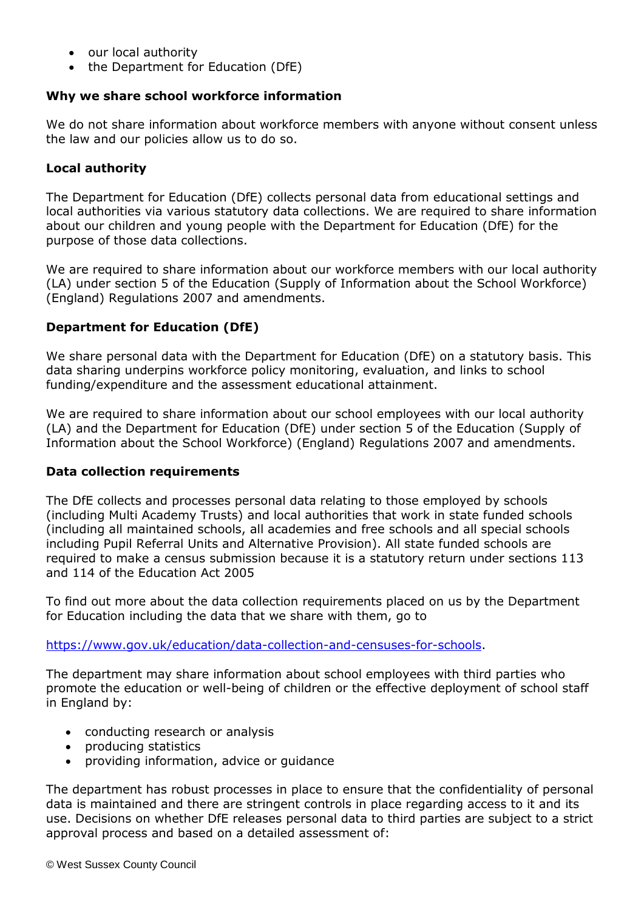- our local authority
- the Department for Education (DfE)

# **Why we share school workforce information**

We do not share information about workforce members with anyone without consent unless the law and our policies allow us to do so.

# **Local authority**

The Department for Education (DfE) collects personal data from educational settings and local authorities via various statutory data collections. We are required to share information about our children and young people with the Department for Education (DfE) for the purpose of those data collections.

We are required to share information about our workforce members with our local authority (LA) under section 5 of the Education (Supply of Information about the School Workforce) (England) Regulations 2007 and amendments.

# **Department for Education (DfE)**

We share personal data with the Department for Education (DfE) on a statutory basis. This data sharing underpins workforce policy monitoring, evaluation, and links to school funding/expenditure and the assessment educational attainment.

We are required to share information about our school employees with our local authority (LA) and the Department for Education (DfE) under section 5 of the Education (Supply of Information about the School Workforce) (England) Regulations 2007 and amendments.

### **Data collection requirements**

The DfE collects and processes personal data relating to those employed by schools (including Multi Academy Trusts) and local authorities that work in state funded schools (including all maintained schools, all academies and free schools and all special schools including Pupil Referral Units and Alternative Provision). All state funded schools are required to make a census submission because it is a statutory return under sections 113 and 114 of the Education Act 2005

To find out more about the data collection requirements placed on us by the Department for Education including the data that we share with them, go to

[https://www.gov.uk/education/data-collection-and-censuses-for-schools.](https://www.gov.uk/education/data-collection-and-censuses-for-schools)

The department may share information about school employees with third parties who promote the education or well-being of children or the effective deployment of school staff in England by:

- conducting research or analysis
- producing statistics
- providing information, advice or guidance

The department has robust processes in place to ensure that the confidentiality of personal data is maintained and there are stringent controls in place regarding access to it and its use. Decisions on whether DfE releases personal data to third parties are subject to a strict approval process and based on a detailed assessment of: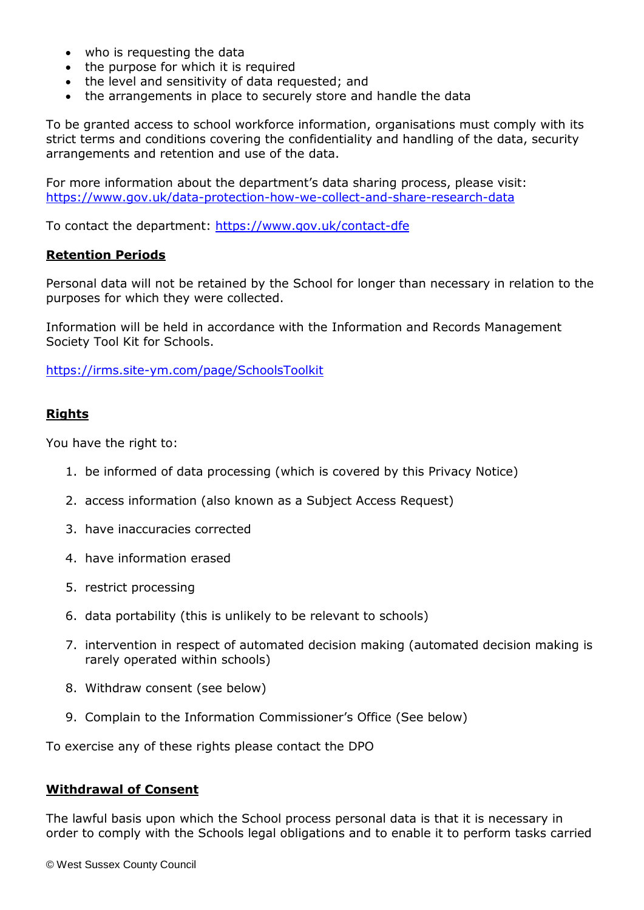- who is requesting the data
- the purpose for which it is required
- the level and sensitivity of data requested; and
- the arrangements in place to securely store and handle the data

To be granted access to school workforce information, organisations must comply with its strict terms and conditions covering the confidentiality and handling of the data, security arrangements and retention and use of the data.

For more information about the department's data sharing process, please visit: <https://www.gov.uk/data-protection-how-we-collect-and-share-research-data>

To contact the department:<https://www.gov.uk/contact-dfe>

#### **Retention Periods**

Personal data will not be retained by the School for longer than necessary in relation to the purposes for which they were collected.

Information will be held in accordance with the Information and Records Management Society Tool Kit for Schools.

<https://irms.site-ym.com/page/SchoolsToolkit>

### **Rights**

You have the right to:

- 1. be informed of data processing (which is covered by this Privacy Notice)
- 2. access information (also known as a Subject Access Request)
- 3. have inaccuracies corrected
- 4. have information erased
- 5. restrict processing
- 6. data portability (this is unlikely to be relevant to schools)
- 7. intervention in respect of automated decision making (automated decision making is rarely operated within schools)
- 8. Withdraw consent (see below)
- 9. Complain to the Information Commissioner's Office (See below)

To exercise any of these rights please contact the DPO

#### **Withdrawal of Consent**

The lawful basis upon which the School process personal data is that it is necessary in order to comply with the Schools legal obligations and to enable it to perform tasks carried